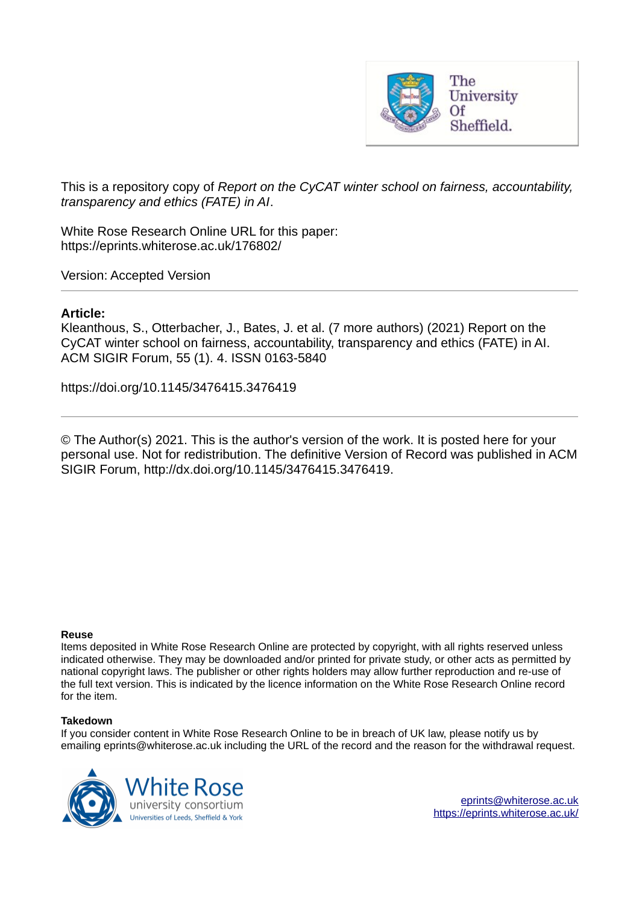

This is a repository copy of *Report on the CyCAT winter school on fairness, accountability, transparency and ethics (FATE) in AI*.

White Rose Research Online URL for this paper: https://eprints.whiterose.ac.uk/176802/

Version: Accepted Version

#### **Article:**

Kleanthous, S., Otterbacher, J., Bates, J. et al. (7 more authors) (2021) Report on the CyCAT winter school on fairness, accountability, transparency and ethics (FATE) in AI. ACM SIGIR Forum, 55 (1). 4. ISSN 0163-5840

https://doi.org/10.1145/3476415.3476419

© The Author(s) 2021. This is the author's version of the work. It is posted here for your personal use. Not for redistribution. The definitive Version of Record was published in ACM SIGIR Forum, http://dx.doi.org/10.1145/3476415.3476419.

#### **Reuse**

Items deposited in White Rose Research Online are protected by copyright, with all rights reserved unless indicated otherwise. They may be downloaded and/or printed for private study, or other acts as permitted by national copyright laws. The publisher or other rights holders may allow further reproduction and re-use of the full text version. This is indicated by the licence information on the White Rose Research Online record for the item.

#### **Takedown**

If you consider content in White Rose Research Online to be in breach of UK law, please notify us by emailing eprints@whiterose.ac.uk including the URL of the record and the reason for the withdrawal request.



eprints@whiterose.ac.uk https://eprints.whiterose.ac.uk/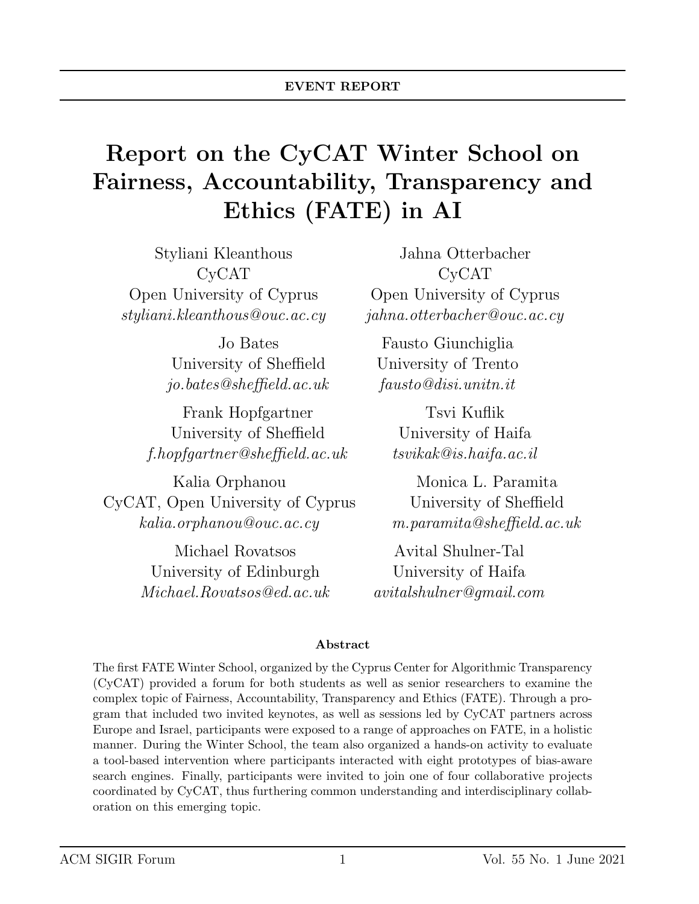# Report on the CyCAT Winter School on Fairness, Accountability, Transparency and Ethics (FATE) in AI

Styliani Kleanthous CyCAT Open University of Cyprus styliani.kleanthous@ouc.ac.cy

> Jo Bates University of Sheffield jo.bates@sheffield.ac.uk

Frank Hopfgartner University of Sheffield f.hopfgartner@sheffield.ac.uk

Kalia Orphanou CyCAT, Open University of Cyprus kalia.orphanou@ouc.ac.cy

> Michael Rovatsos University of Edinburgh Michael.Rovatsos@ed.ac.uk

Jahna Otterbacher CyCAT Open University of Cyprus jahna.otterbacher@ouc.ac.cy

Fausto Giunchiglia University of Trento fausto@disi.unitn.it

> Tsvi Kuflik University of Haifa tsvikak@is.haifa.ac.il

Monica L. Paramita University of Sheffield m.paramita@sheffield.ac.uk

Avital Shulner-Tal University of Haifa avitalshulner@gmail.com

#### Abstract

The first FATE Winter School, organized by the Cyprus Center for Algorithmic Transparency (CyCAT) provided a forum for both students as well as senior researchers to examine the complex topic of Fairness, Accountability, Transparency and Ethics (FATE). Through a program that included two invited keynotes, as well as sessions led by CyCAT partners across Europe and Israel, participants were exposed to a range of approaches on FATE, in a holistic manner. During the Winter School, the team also organized a hands-on activity to evaluate a tool-based intervention where participants interacted with eight prototypes of bias-aware search engines. Finally, participants were invited to join one of four collaborative projects coordinated by CyCAT, thus furthering common understanding and interdisciplinary collaboration on this emerging topic.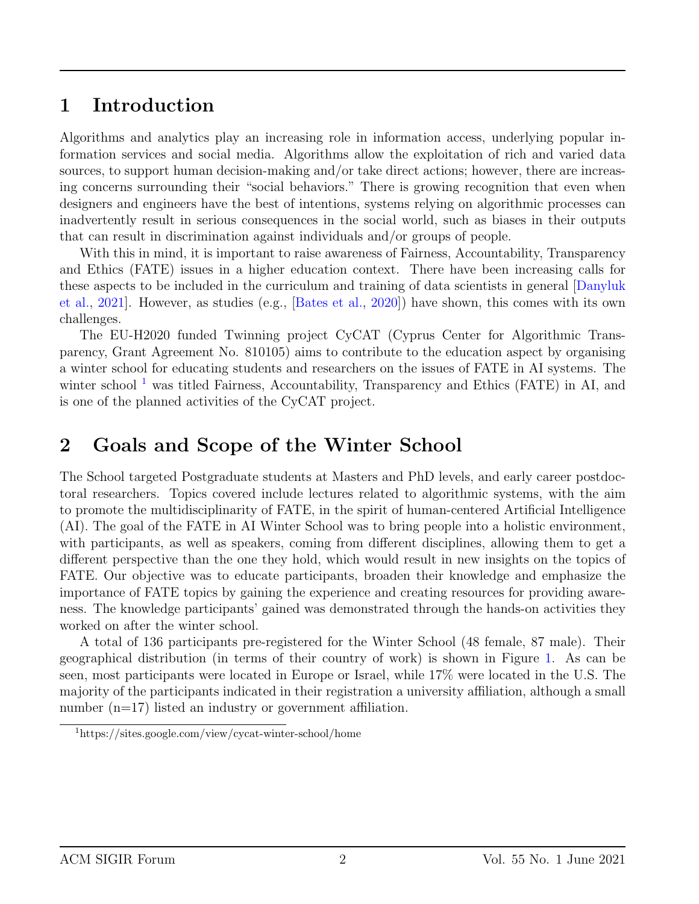### 1 Introduction

Algorithms and analytics play an increasing role in information access, underlying popular information services and social media. Algorithms allow the exploitation of rich and varied data sources, to support human decision-making and/or take direct actions; however, there are increasing concerns surrounding their "social behaviors." There is growing recognition that even when designers and engineers have the best of intentions, systems relying on algorithmic processes can inadvertently result in serious consequences in the social world, such as biases in their outputs that can result in discrimination against individuals and/or groups of people.

With this in mind, it is important to raise awareness of Fairness, Accountability, Transparency and Ethics (FATE) issues in a higher education context. There have been increasing calls for these aspects to be included in the curriculum and training of data scientists in general [Danyluk et al., 2021]. However, as studies (e.g., [Bates et al., 2020]) have shown, this comes with its own challenges.

The EU-H2020 funded Twinning project CyCAT (Cyprus Center for Algorithmic Transparency, Grant Agreement No. 810105) aims to contribute to the education aspect by organising a winter school for educating students and researchers on the issues of FATE in AI systems. The winter school<sup>1</sup> was titled Fairness, Accountability, Transparency and Ethics (FATE) in AI, and is one of the planned activities of the CyCAT project.

### 2 Goals and Scope of the Winter School

The School targeted Postgraduate students at Masters and PhD levels, and early career postdoctoral researchers. Topics covered include lectures related to algorithmic systems, with the aim to promote the multidisciplinarity of FATE, in the spirit of human-centered Artificial Intelligence (AI). The goal of the FATE in AI Winter School was to bring people into a holistic environment, with participants, as well as speakers, coming from different disciplines, allowing them to get a different perspective than the one they hold, which would result in new insights on the topics of FATE. Our objective was to educate participants, broaden their knowledge and emphasize the importance of FATE topics by gaining the experience and creating resources for providing awareness. The knowledge participants' gained was demonstrated through the hands-on activities they worked on after the winter school.

A total of 136 participants pre-registered for the Winter School (48 female, 87 male). Their geographical distribution (in terms of their country of work) is shown in Figure 1. As can be seen, most participants were located in Europe or Israel, while 17% were located in the U.S. The majority of the participants indicated in their registration a university affiliation, although a small number (n=17) listed an industry or government affiliation.

<sup>1</sup>https://sites.google.com/view/cycat-winter-school/home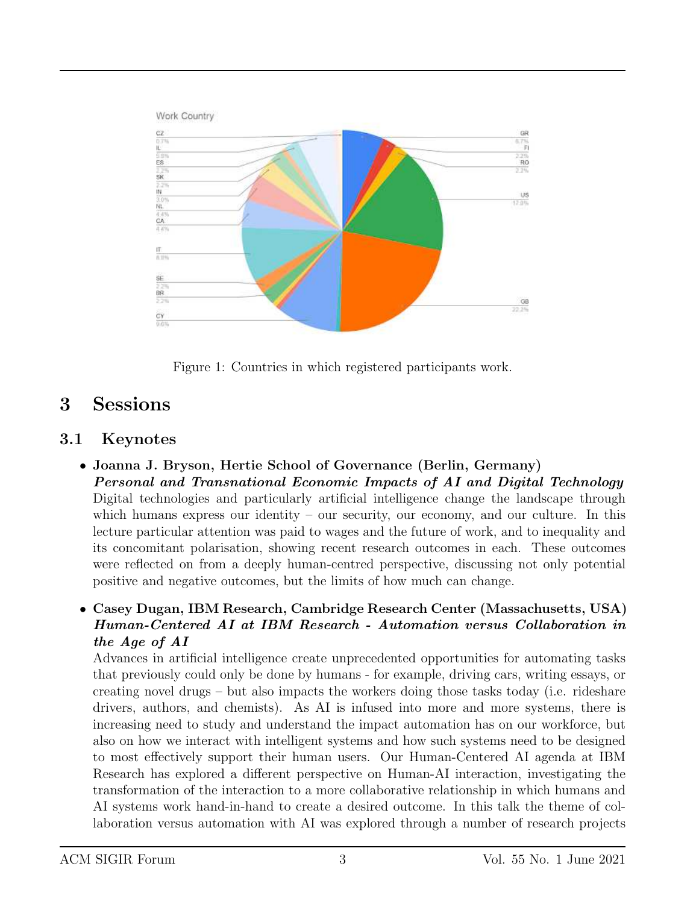

Figure 1: Countries in which registered participants work.

## 3 Sessions

### 3.1 Keynotes

- Joanna J. Bryson, Hertie School of Governance (Berlin, Germany) Personal and Transnational Economic Impacts of AI and Digital Technology Digital technologies and particularly artificial intelligence change the landscape through which humans express our identity – our security, our economy, and our culture. In this lecture particular attention was paid to wages and the future of work, and to inequality and its concomitant polarisation, showing recent research outcomes in each. These outcomes were reflected on from a deeply human-centred perspective, discussing not only potential positive and negative outcomes, but the limits of how much can change.
- Casey Dugan, IBM Research, Cambridge Research Center (Massachusetts, USA) Human-Centered AI at IBM Research - Automation versus Collaboration in the Age of AI

Advances in artificial intelligence create unprecedented opportunities for automating tasks that previously could only be done by humans - for example, driving cars, writing essays, or creating novel drugs – but also impacts the workers doing those tasks today (i.e. rideshare drivers, authors, and chemists). As AI is infused into more and more systems, there is increasing need to study and understand the impact automation has on our workforce, but also on how we interact with intelligent systems and how such systems need to be designed to most effectively support their human users. Our Human-Centered AI agenda at IBM Research has explored a different perspective on Human-AI interaction, investigating the transformation of the interaction to a more collaborative relationship in which humans and AI systems work hand-in-hand to create a desired outcome. In this talk the theme of collaboration versus automation with AI was explored through a number of research projects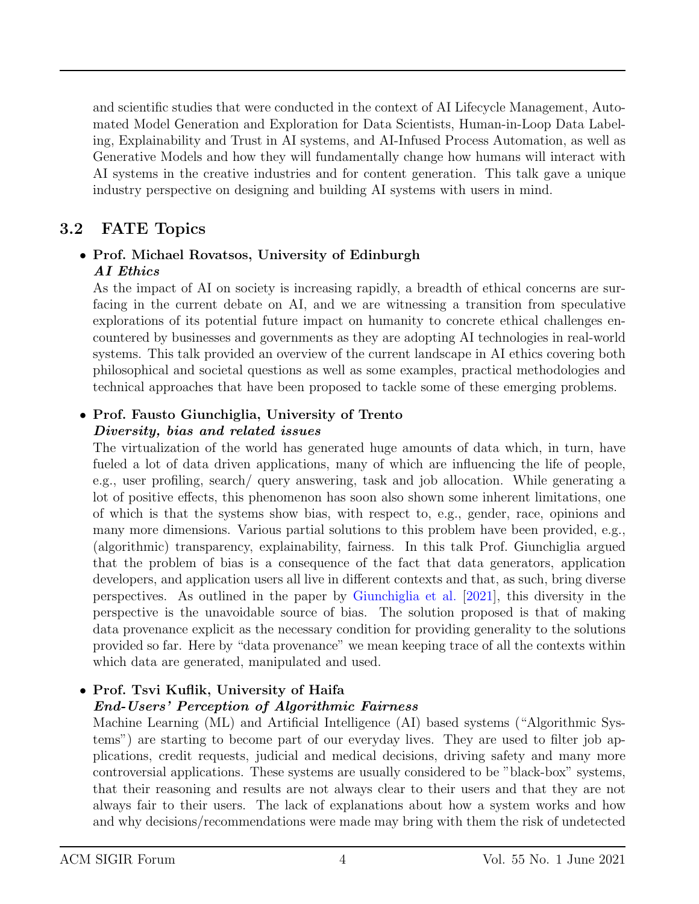and scientific studies that were conducted in the context of AI Lifecycle Management, Automated Model Generation and Exploration for Data Scientists, Human-in-Loop Data Labeling, Explainability and Trust in AI systems, and AI-Infused Process Automation, as well as Generative Models and how they will fundamentally change how humans will interact with AI systems in the creative industries and for content generation. This talk gave a unique industry perspective on designing and building AI systems with users in mind.

### 3.2 FATE Topics

#### • Prof. Michael Rovatsos, University of Edinburgh AI Ethics

As the impact of AI on society is increasing rapidly, a breadth of ethical concerns are surfacing in the current debate on AI, and we are witnessing a transition from speculative explorations of its potential future impact on humanity to concrete ethical challenges encountered by businesses and governments as they are adopting AI technologies in real-world systems. This talk provided an overview of the current landscape in AI ethics covering both philosophical and societal questions as well as some examples, practical methodologies and technical approaches that have been proposed to tackle some of these emerging problems.

#### • Prof. Fausto Giunchiglia, University of Trento Diversity, bias and related issues

The virtualization of the world has generated huge amounts of data which, in turn, have fueled a lot of data driven applications, many of which are influencing the life of people, e.g., user profiling, search/ query answering, task and job allocation. While generating a lot of positive effects, this phenomenon has soon also shown some inherent limitations, one of which is that the systems show bias, with respect to, e.g., gender, race, opinions and many more dimensions. Various partial solutions to this problem have been provided, e.g., (algorithmic) transparency, explainability, fairness. In this talk Prof. Giunchiglia argued that the problem of bias is a consequence of the fact that data generators, application developers, and application users all live in different contexts and that, as such, bring diverse perspectives. As outlined in the paper by Giunchiglia et al. [2021], this diversity in the perspective is the unavoidable source of bias. The solution proposed is that of making data provenance explicit as the necessary condition for providing generality to the solutions provided so far. Here by "data provenance" we mean keeping trace of all the contexts within which data are generated, manipulated and used.

### • Prof. Tsvi Kuflik, University of Haifa

### End-Users' Perception of Algorithmic Fairness

Machine Learning (ML) and Artificial Intelligence (AI) based systems ("Algorithmic Systems") are starting to become part of our everyday lives. They are used to filter job applications, credit requests, judicial and medical decisions, driving safety and many more controversial applications. These systems are usually considered to be "black-box" systems, that their reasoning and results are not always clear to their users and that they are not always fair to their users. The lack of explanations about how a system works and how and why decisions/recommendations were made may bring with them the risk of undetected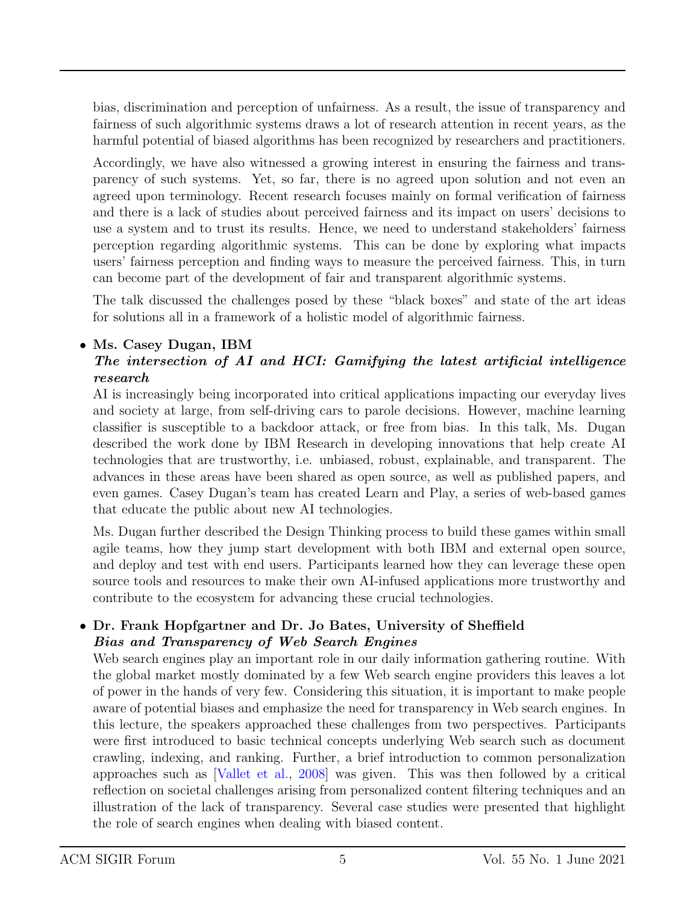bias, discrimination and perception of unfairness. As a result, the issue of transparency and fairness of such algorithmic systems draws a lot of research attention in recent years, as the harmful potential of biased algorithms has been recognized by researchers and practitioners.

Accordingly, we have also witnessed a growing interest in ensuring the fairness and transparency of such systems. Yet, so far, there is no agreed upon solution and not even an agreed upon terminology. Recent research focuses mainly on formal verification of fairness and there is a lack of studies about perceived fairness and its impact on users' decisions to use a system and to trust its results. Hence, we need to understand stakeholders' fairness perception regarding algorithmic systems. This can be done by exploring what impacts users' fairness perception and finding ways to measure the perceived fairness. This, in turn can become part of the development of fair and transparent algorithmic systems.

The talk discussed the challenges posed by these "black boxes" and state of the art ideas for solutions all in a framework of a holistic model of algorithmic fairness.

#### • Ms. Casey Dugan, IBM

#### The intersection of AI and HCI: Gamifying the latest artificial intelligence research

AI is increasingly being incorporated into critical applications impacting our everyday lives and society at large, from self-driving cars to parole decisions. However, machine learning classifier is susceptible to a backdoor attack, or free from bias. In this talk, Ms. Dugan described the work done by IBM Research in developing innovations that help create AI technologies that are trustworthy, i.e. unbiased, robust, explainable, and transparent. The advances in these areas have been shared as open source, as well as published papers, and even games. Casey Dugan's team has created Learn and Play, a series of web-based games that educate the public about new AI technologies.

Ms. Dugan further described the Design Thinking process to build these games within small agile teams, how they jump start development with both IBM and external open source, and deploy and test with end users. Participants learned how they can leverage these open source tools and resources to make their own AI-infused applications more trustworthy and contribute to the ecosystem for advancing these crucial technologies.

#### • Dr. Frank Hopfgartner and Dr. Jo Bates, University of Sheffield Bias and Transparency of Web Search Engines

Web search engines play an important role in our daily information gathering routine. With the global market mostly dominated by a few Web search engine providers this leaves a lot of power in the hands of very few. Considering this situation, it is important to make people aware of potential biases and emphasize the need for transparency in Web search engines. In this lecture, the speakers approached these challenges from two perspectives. Participants were first introduced to basic technical concepts underlying Web search such as document crawling, indexing, and ranking. Further, a brief introduction to common personalization approaches such as [Vallet et al., 2008] was given. This was then followed by a critical reflection on societal challenges arising from personalized content filtering techniques and an illustration of the lack of transparency. Several case studies were presented that highlight the role of search engines when dealing with biased content.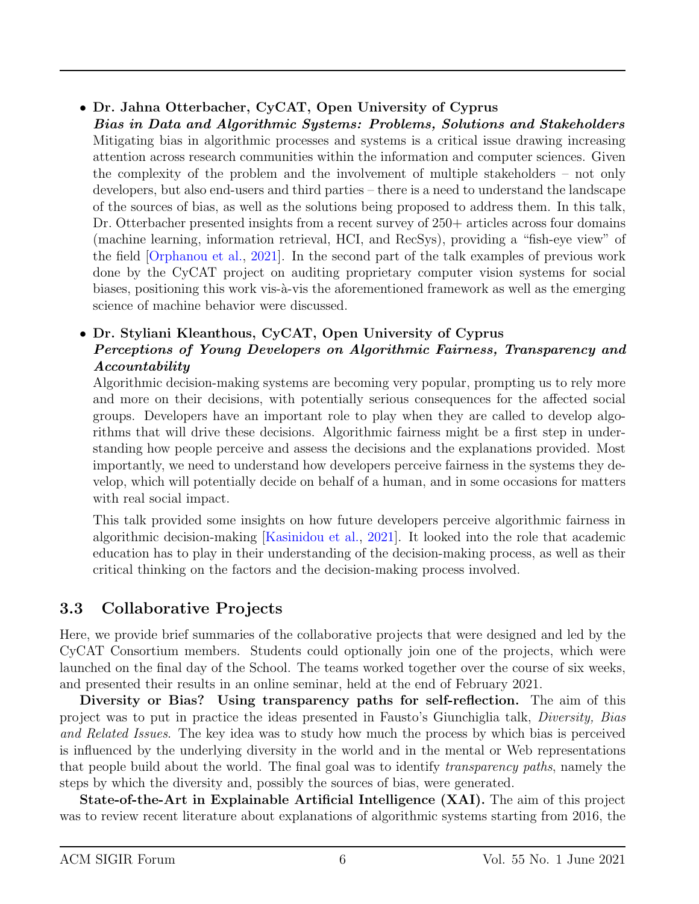- Dr. Jahna Otterbacher, CyCAT, Open University of Cyprus
- Bias in Data and Algorithmic Systems: Problems, Solutions and Stakeholders Mitigating bias in algorithmic processes and systems is a critical issue drawing increasing attention across research communities within the information and computer sciences. Given the complexity of the problem and the involvement of multiple stakeholders – not only developers, but also end-users and third parties – there is a need to understand the landscape of the sources of bias, as well as the solutions being proposed to address them. In this talk, Dr. Otterbacher presented insights from a recent survey of 250+ articles across four domains (machine learning, information retrieval, HCI, and RecSys), providing a "fish-eye view" of the field [Orphanou et al., 2021]. In the second part of the talk examples of previous work done by the CyCAT project on auditing proprietary computer vision systems for social biases, positioning this work vis-à-vis the aforementioned framework as well as the emerging science of machine behavior were discussed.
- Dr. Styliani Kleanthous, CyCAT, Open University of Cyprus Perceptions of Young Developers on Algorithmic Fairness, Transparency and Accountability

Algorithmic decision-making systems are becoming very popular, prompting us to rely more and more on their decisions, with potentially serious consequences for the affected social groups. Developers have an important role to play when they are called to develop algorithms that will drive these decisions. Algorithmic fairness might be a first step in understanding how people perceive and assess the decisions and the explanations provided. Most importantly, we need to understand how developers perceive fairness in the systems they develop, which will potentially decide on behalf of a human, and in some occasions for matters with real social impact.

This talk provided some insights on how future developers perceive algorithmic fairness in algorithmic decision-making [Kasinidou et al., 2021]. It looked into the role that academic education has to play in their understanding of the decision-making process, as well as their critical thinking on the factors and the decision-making process involved.

### 3.3 Collaborative Projects

Here, we provide brief summaries of the collaborative projects that were designed and led by the CyCAT Consortium members. Students could optionally join one of the projects, which were launched on the final day of the School. The teams worked together over the course of six weeks, and presented their results in an online seminar, held at the end of February 2021.

Diversity or Bias? Using transparency paths for self-reflection. The aim of this project was to put in practice the ideas presented in Fausto's Giunchiglia talk, Diversity, Bias and Related Issues. The key idea was to study how much the process by which bias is perceived is influenced by the underlying diversity in the world and in the mental or Web representations that people build about the world. The final goal was to identify transparency paths, namely the steps by which the diversity and, possibly the sources of bias, were generated.

State-of-the-Art in Explainable Artificial Intelligence (XAI). The aim of this project was to review recent literature about explanations of algorithmic systems starting from 2016, the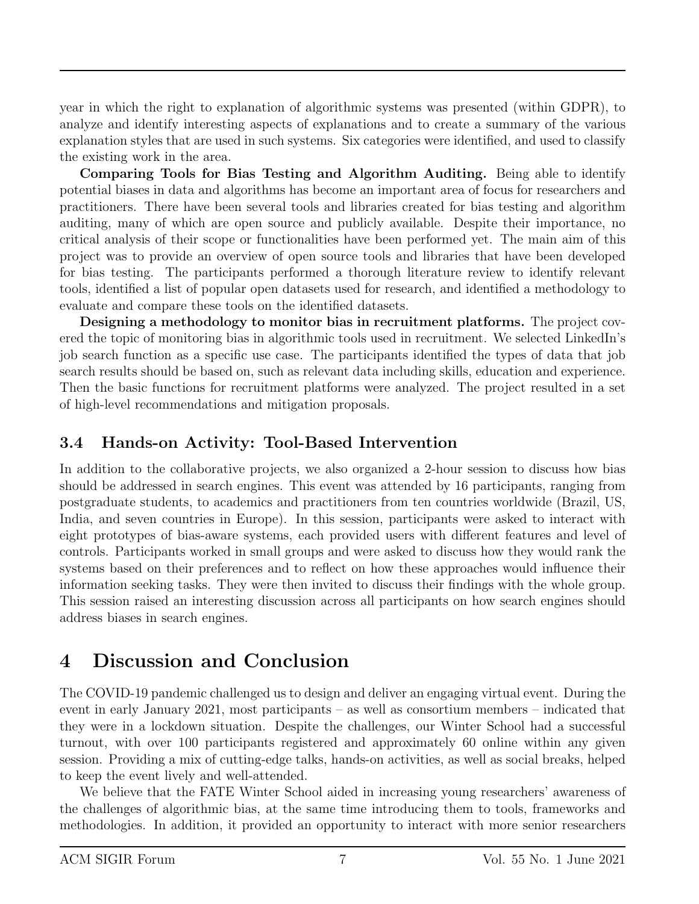year in which the right to explanation of algorithmic systems was presented (within GDPR), to analyze and identify interesting aspects of explanations and to create a summary of the various explanation styles that are used in such systems. Six categories were identified, and used to classify the existing work in the area.

Comparing Tools for Bias Testing and Algorithm Auditing. Being able to identify potential biases in data and algorithms has become an important area of focus for researchers and practitioners. There have been several tools and libraries created for bias testing and algorithm auditing, many of which are open source and publicly available. Despite their importance, no critical analysis of their scope or functionalities have been performed yet. The main aim of this project was to provide an overview of open source tools and libraries that have been developed for bias testing. The participants performed a thorough literature review to identify relevant tools, identified a list of popular open datasets used for research, and identified a methodology to evaluate and compare these tools on the identified datasets.

Designing a methodology to monitor bias in recruitment platforms. The project covered the topic of monitoring bias in algorithmic tools used in recruitment. We selected LinkedIn's job search function as a specific use case. The participants identified the types of data that job search results should be based on, such as relevant data including skills, education and experience. Then the basic functions for recruitment platforms were analyzed. The project resulted in a set of high-level recommendations and mitigation proposals.

### 3.4 Hands-on Activity: Tool-Based Intervention

In addition to the collaborative projects, we also organized a 2-hour session to discuss how bias should be addressed in search engines. This event was attended by 16 participants, ranging from postgraduate students, to academics and practitioners from ten countries worldwide (Brazil, US, India, and seven countries in Europe). In this session, participants were asked to interact with eight prototypes of bias-aware systems, each provided users with different features and level of controls. Participants worked in small groups and were asked to discuss how they would rank the systems based on their preferences and to reflect on how these approaches would influence their information seeking tasks. They were then invited to discuss their findings with the whole group. This session raised an interesting discussion across all participants on how search engines should address biases in search engines.

## 4 Discussion and Conclusion

The COVID-19 pandemic challenged us to design and deliver an engaging virtual event. During the event in early January 2021, most participants – as well as consortium members – indicated that they were in a lockdown situation. Despite the challenges, our Winter School had a successful turnout, with over 100 participants registered and approximately 60 online within any given session. Providing a mix of cutting-edge talks, hands-on activities, as well as social breaks, helped to keep the event lively and well-attended.

We believe that the FATE Winter School aided in increasing young researchers' awareness of the challenges of algorithmic bias, at the same time introducing them to tools, frameworks and methodologies. In addition, it provided an opportunity to interact with more senior researchers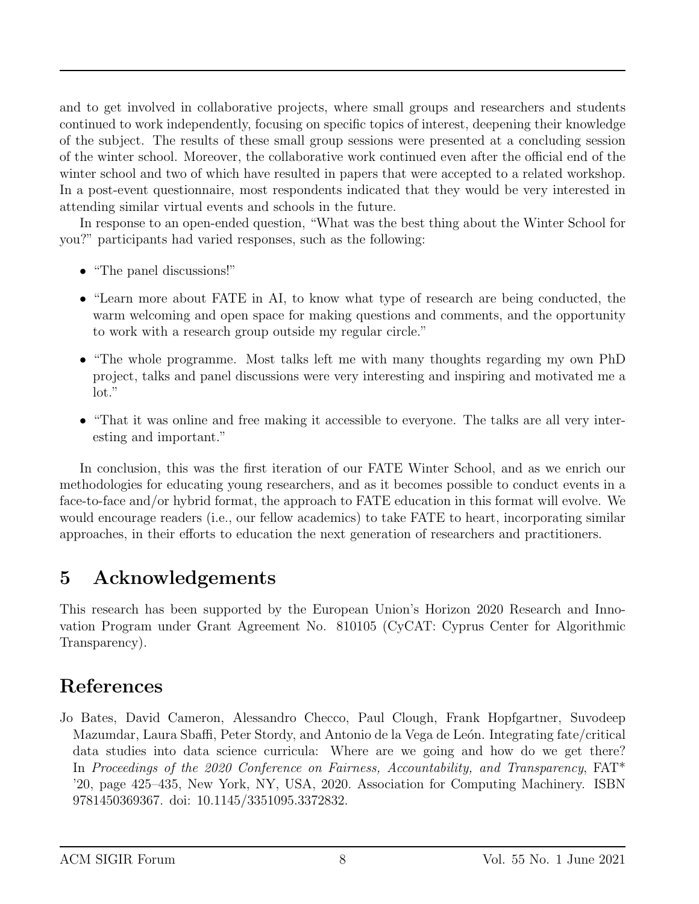and to get involved in collaborative projects, where small groups and researchers and students continued to work independently, focusing on specific topics of interest, deepening their knowledge of the subject. The results of these small group sessions were presented at a concluding session of the winter school. Moreover, the collaborative work continued even after the official end of the winter school and two of which have resulted in papers that were accepted to a related workshop. In a post-event questionnaire, most respondents indicated that they would be very interested in attending similar virtual events and schools in the future.

In response to an open-ended question, "What was the best thing about the Winter School for you?" participants had varied responses, such as the following:

- "The panel discussions!"
- "Learn more about FATE in AI, to know what type of research are being conducted, the warm welcoming and open space for making questions and comments, and the opportunity to work with a research group outside my regular circle."
- "The whole programme. Most talks left me with many thoughts regarding my own PhD project, talks and panel discussions were very interesting and inspiring and motivated me a lot."
- "That it was online and free making it accessible to everyone. The talks are all very interesting and important."

In conclusion, this was the first iteration of our FATE Winter School, and as we enrich our methodologies for educating young researchers, and as it becomes possible to conduct events in a face-to-face and/or hybrid format, the approach to FATE education in this format will evolve. We would encourage readers (i.e., our fellow academics) to take FATE to heart, incorporating similar approaches, in their efforts to education the next generation of researchers and practitioners.

## 5 Acknowledgements

This research has been supported by the European Union's Horizon 2020 Research and Innovation Program under Grant Agreement No. 810105 (CyCAT: Cyprus Center for Algorithmic Transparency).

## References

Jo Bates, David Cameron, Alessandro Checco, Paul Clough, Frank Hopfgartner, Suvodeep Mazumdar, Laura Sbaffi, Peter Stordy, and Antonio de la Vega de León. Integrating fate/critical data studies into data science curricula: Where are we going and how do we get there? In Proceedings of the 2020 Conference on Fairness, Accountability, and Transparency, FAT\* '20, page 425–435, New York, NY, USA, 2020. Association for Computing Machinery. ISBN 9781450369367. doi: 10.1145/3351095.3372832.